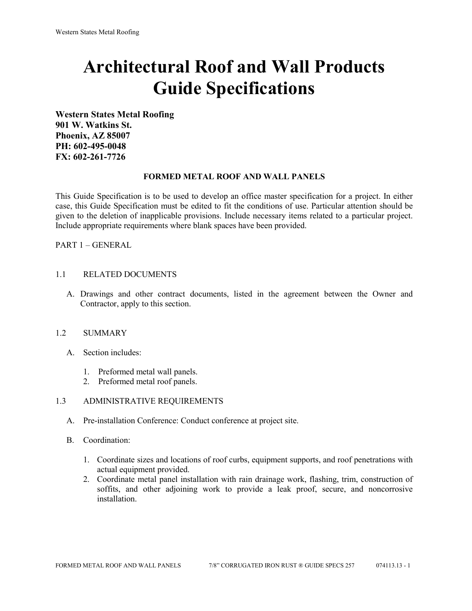# **Architectural Roof and Wall Products Guide Specifications**

**Western States Metal Roofing 901 W. Watkins St. Phoenix, AZ 85007 PH: 602-495-0048 FX: 602-261-7726**

#### **FORMED METAL ROOF AND WALL PANELS**

This Guide Specification is to be used to develop an office master specification for a project. In either case, this Guide Specification must be edited to fit the conditions of use. Particular attention should be given to the deletion of inapplicable provisions. Include necessary items related to a particular project. Include appropriate requirements where blank spaces have been provided.

PART 1 – GENERAL

#### 1.1 RELATED DOCUMENTS

A. Drawings and other contract documents, listed in the agreement between the Owner and Contractor, apply to this section.

#### 1.2 SUMMARY

- A. Section includes:
	- 1. Preformed metal wall panels.
	- 2. Preformed metal roof panels.

#### 1.3 ADMINISTRATIVE REQUIREMENTS

- A. Pre-installation Conference: Conduct conference at project site.
- B. Coordination:
	- 1. Coordinate sizes and locations of roof curbs, equipment supports, and roof penetrations with actual equipment provided.
	- 2. Coordinate metal panel installation with rain drainage work, flashing, trim, construction of soffits, and other adjoining work to provide a leak proof, secure, and noncorrosive installation.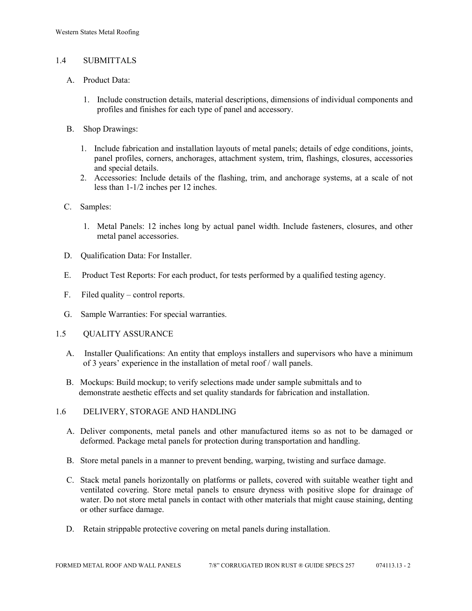# 1.4 SUBMITTALS

- A. Product Data:
	- 1. Include construction details, material descriptions, dimensions of individual components and profiles and finishes for each type of panel and accessory.
- B. Shop Drawings:
	- 1. Include fabrication and installation layouts of metal panels; details of edge conditions, joints, panel profiles, corners, anchorages, attachment system, trim, flashings, closures, accessories and special details.
	- 2. Accessories: Include details of the flashing, trim, and anchorage systems, at a scale of not less than 1-1/2 inches per 12 inches.
- C. Samples:
	- 1. Metal Panels: 12 inches long by actual panel width. Include fasteners, closures, and other metal panel accessories.
- D. Qualification Data: For Installer.
- E. Product Test Reports: For each product, for tests performed by a qualified testing agency.
- F. Filed quality control reports.
- G. Sample Warranties: For special warranties.
- 1.5 QUALITY ASSURANCE
	- A. Installer Qualifications: An entity that employs installers and supervisors who have a minimum of 3 years' experience in the installation of metal roof / wall panels.
	- B. Mockups: Build mockup; to verify selections made under sample submittals and to demonstrate aesthetic effects and set quality standards for fabrication and installation.
- 1.6 DELIVERY, STORAGE AND HANDLING
	- A. Deliver components, metal panels and other manufactured items so as not to be damaged or deformed. Package metal panels for protection during transportation and handling.
	- B. Store metal panels in a manner to prevent bending, warping, twisting and surface damage.
	- C. Stack metal panels horizontally on platforms or pallets, covered with suitable weather tight and ventilated covering. Store metal panels to ensure dryness with positive slope for drainage of water. Do not store metal panels in contact with other materials that might cause staining, denting or other surface damage.
	- D. Retain strippable protective covering on metal panels during installation.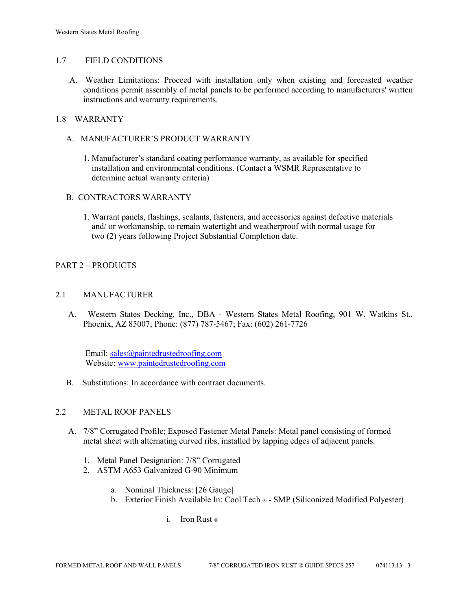### 1.7 FIELD CONDITIONS

A. Weather Limitations: Proceed with installation only when existing and forecasted weather conditions permit assembly of metal panels to be performed according to manufacturers' written instructions and warranty requirements.

### 1.8 WARRANTY

- A. MANUFACTURER'S PRODUCT WARRANTY
	- 1. Manufacturer's standard coating performance warranty, as available for specified installation and environmental conditions. (Contact a WSMR Representative to determine actual warranty criteria)

#### B. CONTRACTORS WARRANTY

1. Warrant panels, flashings, sealants, fasteners, and accessories against defective materials and/ or workmanship, to remain watertight and weatherproof with normal usage for two (2) years following Project Substantial Completion date.

# PART 2 – PRODUCTS

# 2.1 MANUFACTURER

 A. Western States Decking, Inc., DBA - Western States Metal Roofing, 901 W. Watkins St., Phoenix, AZ 85007; Phone: (877) 787-5467; Fax: (602) 261-7726

Email: [sales@paintedrustedroofing.com](mailto:sales@paintedrustedroofing.com) Website: [www.paintedrustedroofing.com](http://www.paintedrustedroofing.com/)

B. Substitutions: In accordance with contract documents.

# 2.2 METAL ROOF PANELS

- A. 7/8" Corrugated Profile; Exposed Fastener Metal Panels: Metal panel consisting of formed metal sheet with alternating curved ribs, installed by lapping edges of adjacent panels.
	- 1. Metal Panel Designation: 7/8" Corrugated
	- 2. ASTM A653 Galvanized G-90 Minimum
		- a. Nominal Thickness: [26 Gauge]
		- b. Exterior Finish Available In: Cool Tech ® SMP (Siliconized Modified Polyester)
			- i. Iron Rust ®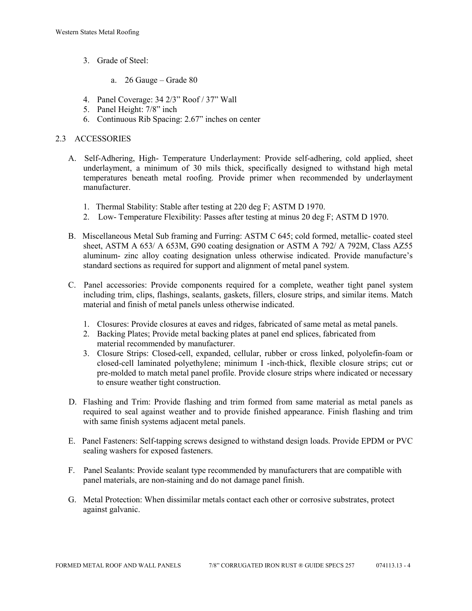- 3. Grade of Steel:
	- a. 26 Gauge Grade 80
- 4. Panel Coverage: 34 2/3" Roof / 37" Wall
- 5. Panel Height: 7/8" inch
- 6. Continuous Rib Spacing: 2.67" inches on center

### 2.3 ACCESSORIES

- A. Self-Adhering, High- Temperature Underlayment: Provide self-adhering, cold applied, sheet underlayment, a minimum of 30 mils thick, specifically designed to withstand high metal temperatures beneath metal roofing. Provide primer when recommended by underlayment manufacturer.
	- 1. Thermal Stability: Stable after testing at 220 deg F; ASTM D 1970.
	- 2. Low- Temperature Flexibility: Passes after testing at minus 20 deg F; ASTM D 1970.
- B. Miscellaneous Metal Sub framing and Furring: ASTM C 645; cold formed, metallic- coated steel sheet, ASTM A 653/ A 653M, G90 coating designation or ASTM A 792/ A 792M, Class AZ55 aluminum- zinc alloy coating designation unless otherwise indicated. Provide manufacture's standard sections as required for support and alignment of metal panel system.
- C. Panel accessories: Provide components required for a complete, weather tight panel system including trim, clips, flashings, sealants, gaskets, fillers, closure strips, and similar items. Match material and finish of metal panels unless otherwise indicated.
	- 1. Closures: Provide closures at eaves and ridges, fabricated of same metal as metal panels.
	- 2. Backing Plates; Provide metal backing plates at panel end splices, fabricated from material recommended by manufacturer.
	- 3. Closure Strips: Closed-cell, expanded, cellular, rubber or cross linked, polyolefin-foam or closed-cell laminated polyethylene; minimum I -inch-thick, flexible closure strips; cut or pre-molded to match metal panel profile. Provide closure strips where indicated or necessary to ensure weather tight construction.
- D. Flashing and Trim: Provide flashing and trim formed from same material as metal panels as required to seal against weather and to provide finished appearance. Finish flashing and trim with same finish systems adjacent metal panels.
- E. Panel Fasteners: Self-tapping screws designed to withstand design loads. Provide EPDM or PVC sealing washers for exposed fasteners.
- F. Panel Sealants: Provide sealant type recommended by manufacturers that are compatible with panel materials, are non-staining and do not damage panel finish.
- G. Metal Protection: When dissimilar metals contact each other or corrosive substrates, protect against galvanic.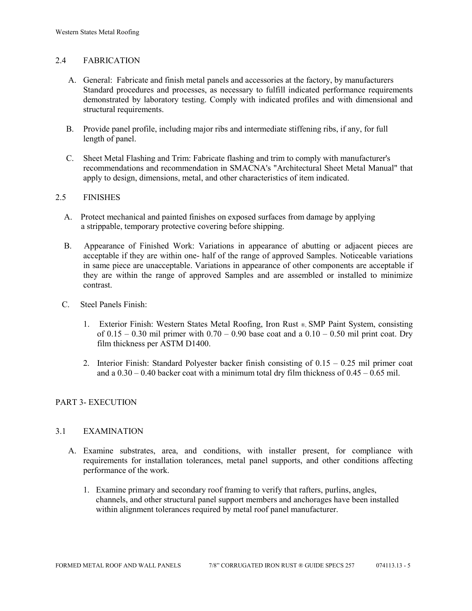# 2.4 FABRICATION

- A. General: Fabricate and finish metal panels and accessories at the factory, by manufacturers Standard procedures and processes, as necessary to fulfill indicated performance requirements demonstrated by laboratory testing. Comply with indicated profiles and with dimensional and structural requirements.
- B. Provide panel profile, including major ribs and intermediate stiffening ribs, if any, for full length of panel.
- C. Sheet Metal Flashing and Trim: Fabricate flashing and trim to comply with manufacturer's recommendations and recommendation in SMACNA's "Architectural Sheet Metal Manual" that apply to design, dimensions, metal, and other characteristics of item indicated.

#### 2.5 FINISHES

- A. Protect mechanical and painted finishes on exposed surfaces from damage by applying a strippable, temporary protective covering before shipping.
- B. Appearance of Finished Work: Variations in appearance of abutting or adjacent pieces are acceptable if they are within one- half of the range of approved Samples. Noticeable variations in same piece are unacceptable. Variations in appearance of other components are acceptable if they are within the range of approved Samples and are assembled or installed to minimize contrast.
- C. Steel Panels Finish:
	- 1. Exterior Finish: Western States Metal Roofing, Iron Rust ®, SMP Paint System, consisting of  $0.15 - 0.30$  mil primer with  $0.70 - 0.90$  base coat and a  $0.10 - 0.50$  mil print coat. Dry film thickness per ASTM D1400.
	- 2. Interior Finish: Standard Polyester backer finish consisting of 0.15 0.25 mil primer coat and a  $0.30 - 0.40$  backer coat with a minimum total dry film thickness of  $0.45 - 0.65$  mil.

# PART 3- EXECUTION

#### 3.1 EXAMINATION

- A. Examine substrates, area, and conditions, with installer present, for compliance with requirements for installation tolerances, metal panel supports, and other conditions affecting performance of the work.
	- 1. Examine primary and secondary roof framing to verify that rafters, purlins, angles, channels, and other structural panel support members and anchorages have been installed within alignment tolerances required by metal roof panel manufacturer.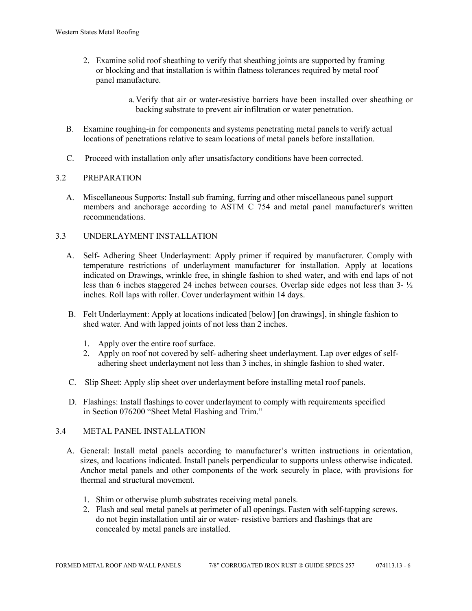2. Examine solid roof sheathing to verify that sheathing joints are supported by framing or blocking and that installation is within flatness tolerances required by metal roof panel manufacture.

> a.Verify that air or water-resistive barriers have been installed over sheathing or backing substrate to prevent air infiltration or water penetration.

- B. Examine roughing-in for components and systems penetrating metal panels to verify actual locations of penetrations relative to seam locations of metal panels before installation.
- C. Proceed with installation only after unsatisfactory conditions have been corrected.

# 3.2 PREPARATION

 A. Miscellaneous Supports: Install sub framing, furring and other miscellaneous panel support members and anchorage according to ASTM C 754 and metal panel manufacturer's written recommendations.

# 3.3 UNDERLAYMENT INSTALLATION

- A. Self- Adhering Sheet Underlayment: Apply primer if required by manufacturer. Comply with temperature restrictions of underlayment manufacturer for installation. Apply at locations indicated on Drawings, wrinkle free, in shingle fashion to shed water, and with end laps of not less than 6 inches staggered 24 inches between courses. Overlap side edges not less than 3- ½ inches. Roll laps with roller. Cover underlayment within 14 days.
- B. Felt Underlayment: Apply at locations indicated [below] [on drawings], in shingle fashion to shed water. And with lapped joints of not less than 2 inches.
	- 1. Apply over the entire roof surface.
	- 2. Apply on roof not covered by self- adhering sheet underlayment. Lap over edges of self adhering sheet underlayment not less than 3 inches, in shingle fashion to shed water.
- C. Slip Sheet: Apply slip sheet over underlayment before installing metal roof panels.
- D. Flashings: Install flashings to cover underlayment to comply with requirements specified in Section 076200 "Sheet Metal Flashing and Trim."

# 3.4 METAL PANEL INSTALLATION

- A. General: Install metal panels according to manufacturer's written instructions in orientation, sizes, and locations indicated. Install panels perpendicular to supports unless otherwise indicated. Anchor metal panels and other components of the work securely in place, with provisions for thermal and structural movement.
	- 1. Shim or otherwise plumb substrates receiving metal panels.
	- 2. Flash and seal metal panels at perimeter of all openings. Fasten with self-tapping screws. do not begin installation until air or water- resistive barriers and flashings that are concealed by metal panels are installed.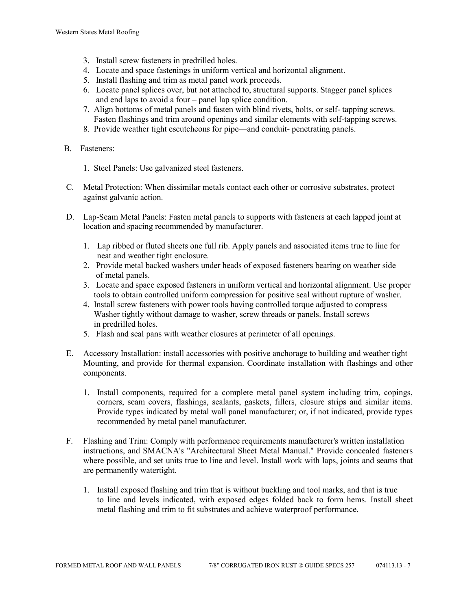- 3. Install screw fasteners in predrilled holes.
- 4. Locate and space fastenings in uniform vertical and horizontal alignment.
- 5. Install flashing and trim as metal panel work proceeds.
- 6. Locate panel splices over, but not attached to, structural supports. Stagger panel splices and end laps to avoid a four – panel lap splice condition.
- 7. Align bottoms of metal panels and fasten with blind rivets, bolts, or self- tapping screws. Fasten flashings and trim around openings and similar elements with self-tapping screws.
- 8. Provide weather tight escutcheons for pipe—and conduit- penetrating panels.
- B. Fasteners:
	- 1. Steel Panels: Use galvanized steel fasteners.
- C. Metal Protection: When dissimilar metals contact each other or corrosive substrates, protect against galvanic action.
- D. Lap-Seam Metal Panels: Fasten metal panels to supports with fasteners at each lapped joint at location and spacing recommended by manufacturer.
	- 1. Lap ribbed or fluted sheets one full rib. Apply panels and associated items true to line for neat and weather tight enclosure.
	- 2. Provide metal backed washers under heads of exposed fasteners bearing on weather side of metal panels.
	- 3. Locate and space exposed fasteners in uniform vertical and horizontal alignment. Use proper tools to obtain controlled uniform compression for positive seal without rupture of washer.
	- 4. Install screw fasteners with power tools having controlled torque adjusted to compress Washer tightly without damage to washer, screw threads or panels. Install screws in predrilled holes.
	- 5. Flash and seal pans with weather closures at perimeter of all openings.
- E. Accessory Installation: install accessories with positive anchorage to building and weather tight Mounting, and provide for thermal expansion. Coordinate installation with flashings and other components.
	- 1. Install components, required for a complete metal panel system including trim, copings, corners, seam covers, flashings, sealants, gaskets, fillers, closure strips and similar items. Provide types indicated by metal wall panel manufacturer; or, if not indicated, provide types recommended by metal panel manufacturer.
- F. Flashing and Trim: Comply with performance requirements manufacturer's written installation instructions, and SMACNA's "Architectural Sheet Metal Manual." Provide concealed fasteners where possible, and set units true to line and level. Install work with laps, joints and seams that are permanently watertight.
	- 1. Install exposed flashing and trim that is without buckling and tool marks, and that is true to line and levels indicated, with exposed edges folded back to form hems. Install sheet metal flashing and trim to fit substrates and achieve waterproof performance.